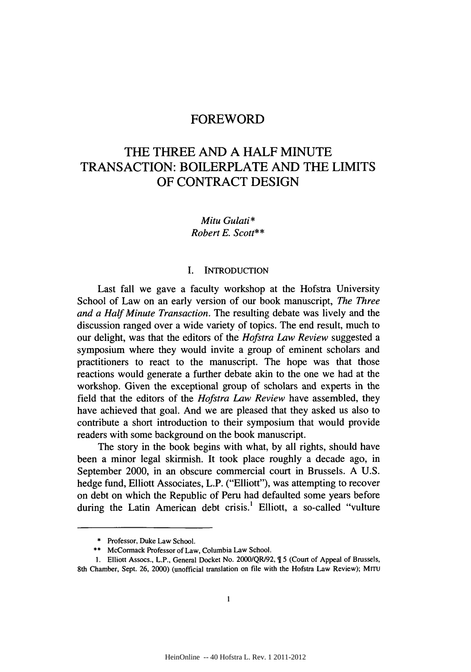# THE THREE AND A HALF MINUTE TRANSACTION: BOILERPLATE AND THE LIMITS OF CONTRACT DESIGN

*Mitu Gulati\* Robert E. Scott\*\**

## I. INTRODUCTION

Last fall we gave a faculty workshop at the Hofstra University School of Law on an early version of our book manuscript, *The Three and a Half Minute Transaction.* The resulting debate was lively and the discussion ranged over a wide variety of topics. The end result, much to our delight, was that the editors of the *Hofstra Law Review* suggested a symposium where they would invite a group of eminent scholars and practitioners to react to the manuscript. The hope was that those reactions would generate a further debate akin to the one we had at the workshop. Given the exceptional group of scholars and experts in the field that the editors of the *Hofstra Law Review* have assembled, they have achieved that goal. And we are pleased that they asked us also to contribute a short introduction to their symposium that would provide readers with some background on the book manuscript.

The story in the book begins with what, by all rights, should have been a minor legal skirmish. It took place roughly a decade ago, in September 2000, in an obscure commercial court in Brussels. A U.S. hedge fund, Elliott Associates, L.P. ("Elliott"), was attempting to recover on debt on which the Republic of Peru had defaulted some years before during the Latin American debt crisis.' Elliott, a so-called "vulture

<sup>\*</sup> Professor, Duke Law School.

<sup>\*\*</sup> McCormack Professor of Law, Columbia Law School.

<sup>1.</sup> Elliott Assocs., L.P., General Docket No. 2000/QR/92, ¶ 5 (Court of Appeal of Brussels, 8th Chamber, Sept. 26, 2000) (unofficial translation on file with the Hofstra Law Review); MITU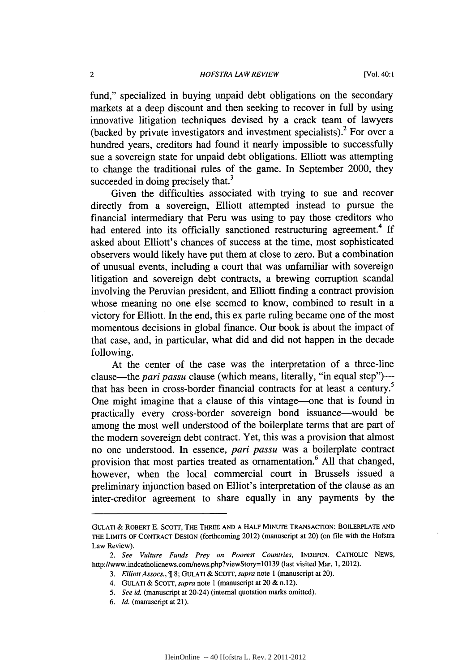### *HOFSTRA LAW REVIEW*

fund," specialized in buying unpaid debt obligations on the secondary markets at a deep discount and then seeking to recover in full by using innovative litigation techniques devised by a crack team of lawyers (backed by private investigators and investment specialists). $^{2}$  For over a hundred years, creditors had found it nearly impossible to successfully sue a sovereign state for unpaid debt obligations. Elliott was attempting to change the traditional rules of the game. In September 2000, they succeeded in doing precisely that.<sup>3</sup>

Given the difficulties associated with trying to sue and recover directly from a sovereign, Elliott attempted instead to pursue the financial intermediary that Peru was using to pay those creditors who had entered into its officially sanctioned restructuring agreement.<sup>4</sup> If asked about Elliott's chances of success at the time, most sophisticated observers would likely have put them at close to zero. But a combination of unusual events, including a court that was unfamiliar with sovereign litigation and sovereign debt contracts, a brewing corruption scandal involving the Peruvian president, and Elliott finding a contract provision whose meaning no one else seemed to know, combined to result in a victory for Elliott. In the end, this ex parte ruling became one of the most momentous decisions in global finance. Our book is about the impact of that case, and, in particular, what did and did not happen in the decade following.

At the center of the case was the interpretation of a three-line clause—the *pari passu* clause (which means, literally, "in equal step") that has been in cross-border financial contracts for at least a century.<sup>5</sup> One might imagine that a clause of this vintage-one that is found in practically every cross-border sovereign bond issuance-would be among the most well understood of the boilerplate terms that are part of the modem sovereign debt contract. Yet, this was a provision that almost no one understood. In essence, pari *passu* was a boilerplate contract provision that most parties treated as ornamentation.<sup>6</sup> All that changed, however, when the local commercial court in Brussels issued a preliminary injunction based on Elliot's interpretation of the clause as an inter-creditor agreement to share equally in any payments by the

GULATI & ROBERT E. ScoTT, THE THREE **AND** A HALF MINUTE TRANSACTION: BOILERPLATE AND THE LIMITS OF CONTRACT DESIGN (forthcoming 2012) (manuscript at 20) (on file with the Hofstra Law Review).

*<sup>2.</sup> See Vulture Funds Prey on Poorest Countries,* INDEPEN. CATHOLIC NEWS, http://www.indcatholicnews.com/news.php?viewStory=10139 (last visited Mar. 1, 2012).

*<sup>3.</sup> Elliott Assocs.,* 8; GULATI & ScoTr, *supra* note 1 (manuscript at 20).

<sup>4.</sup> GULATI & ScoTr, *supra* note 1 (manuscript at 20 & n. 12).

*<sup>5.</sup> See id.* (manuscript at 20-24) (internal quotation marks omitted).

*<sup>6.</sup> Id.* (manuscript at 21).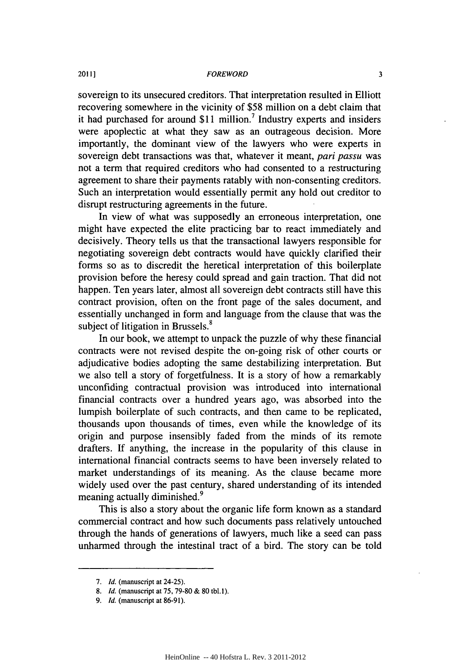sovereign to its unsecured creditors. That interpretation resulted in Elliott recovering somewhere in the vicinity of \$58 million on a debt claim that it had purchased for around  $$11$  million.<sup>7</sup> Industry experts and insiders were apoplectic at what they saw as an outrageous decision. More importantly, the dominant view of the lawyers who were experts in sovereign debt transactions was that, whatever it meant, *pari passu* was not a term that required creditors who had consented to a restructuring agreement to share their payments ratably with non-consenting creditors. Such an interpretation would essentially permit any hold out creditor to disrupt restructuring agreements in the future.

In view of what was supposedly an erroneous interpretation, one might have expected the elite practicing bar to react immediately and decisively. Theory tells us that the transactional lawyers responsible for negotiating sovereign debt contracts would have quickly clarified their forms so as to discredit the heretical interpretation of this boilerplate provision before the heresy could spread and gain traction. That did not happen. Ten years later, almost all sovereign debt contracts still have this contract provision, often on the front page of the sales document, and essentially unchanged in form and language from the clause that was the subject of litigation in Brussels.<sup>8</sup>

In our book, we attempt to unpack the puzzle of why these financial contracts were not revised despite the on-going risk of other courts or adjudicative bodies adopting the same destabilizing interpretation. But we also tell a story of forgetfulness. It is a story of how a remarkably unconfiding contractual provision was introduced into international financial contracts over a hundred years ago, was absorbed into the lumpish boilerplate of such contracts, and then came to be replicated, thousands upon thousands of times, even while the knowledge of its origin and purpose insensibly faded from the minds of its remote drafters. If anything, the increase in the popularity of this clause in international financial contracts seems to have been inversely related to market understandings of its meaning. As the clause became more widely used over the past century, shared understanding of its intended meaning actually diminished.<sup>9</sup>

This is also a story about the organic life form known as a standard commercial contract and how such documents pass relatively untouched through the hands of generations of lawyers, much like a seed can pass unharmed through the intestinal tract of a bird. The story can be told

*<sup>7.</sup> Id.* (manuscript at 24-25).

*<sup>8.</sup> Id.* (manuscript at 75, 79-80 & 80 tbl.I).

*<sup>9.</sup> Id.* (manuscript at 86-91).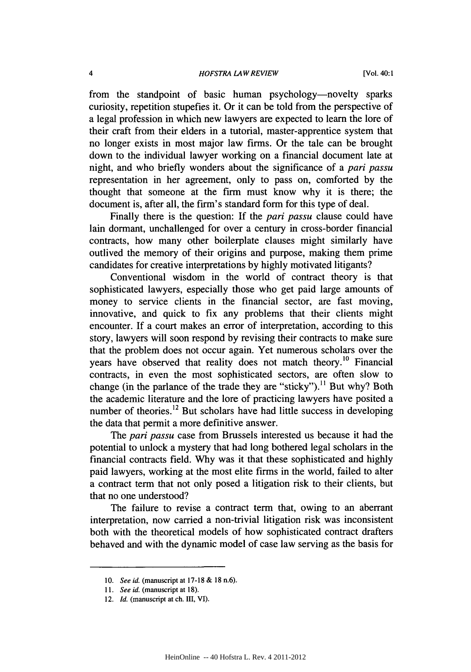#### *HOFSTRA LAW REVIEW*

from the standpoint of basic human psychology—novelty sparks curiosity, repetition stupefies it. Or it can be told from the perspective of a legal profession in which new lawyers are expected to learn the lore of their craft from their elders in a tutorial, master-apprentice system that no longer exists in most major law firms. Or the tale can be brought down to the individual lawyer working on a financial document late at night, and who briefly wonders about the significance of a *pari passu* representation in her agreement, only to pass on, comforted by the thought that someone at the firm must know why it is there; the document is, after all, the firm's standard form for this type of deal.

Finally there is the question: If the *pari passu* clause could have lain dormant, unchallenged for over a century in cross-border financial contracts, how many other boilerplate clauses might similarly have outlived the memory of their origins and purpose, making them prime candidates for creative interpretations by highly motivated litigants?

Conventional wisdom in the world of contract theory is that sophisticated lawyers, especially those who get paid large amounts of money to service clients in the financial sector, are fast moving, innovative, and quick to fix any problems that their clients might encounter. If a court makes an error of interpretation, according to this story, lawyers will soon respond by revising their contracts to make sure that the problem does not occur again. Yet numerous scholars over the years have observed that reality does not match theory.<sup>10</sup> Financial contracts, in even the most sophisticated sectors, are often slow to change (in the parlance of the trade they are "sticky").<sup>11</sup> But why? Both the academic literature and the lore of practicing lawyers have posited a number of theories.<sup>12</sup> But scholars have had little success in developing the data that permit a more definitive answer.

The *pari passu* case from Brussels interested us because it had the potential to unlock a mystery that had long bothered legal scholars in the financial contracts field. Why was it that these sophisticated and highly paid lawyers, working at the most elite firms in the world, failed to alter a contract term that not only posed a litigation risk to their clients, but that no one understood?

The failure to revise a contract term that, owing to an aberrant interpretation, now carried a non-trivial litigation risk was inconsistent both with the theoretical models of how sophisticated contract drafters behaved and with the dynamic model of case law serving as the basis for

<sup>10.</sup> *See id.* (manuscript at **17-18 &** 18 n.6).

*<sup>11.</sup> See id.* (manuscript at 18).

<sup>12.</sup> *Id.* (manuscript at ch. III, VI).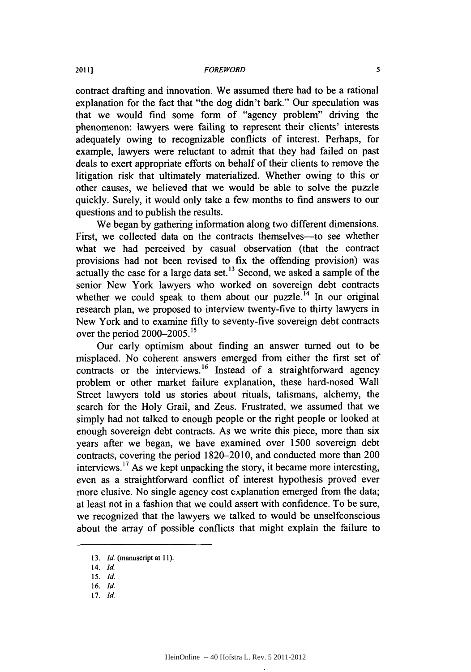contract drafting and innovation. We assumed there had to be a rational explanation for the fact that "the dog didn't bark." Our speculation was that we would find some form of "agency problem" driving the phenomenon: lawyers were failing to represent their clients' interests adequately owing to recognizable conflicts of interest. Perhaps, for example, lawyers were reluctant to admit that they had failed on past deals to exert appropriate efforts on behalf of their clients to remove the litigation risk that ultimately materialized. Whether owing to this or other causes, we believed that we would be able to solve the puzzle quickly. Surely, it would only take a few months to find answers to our questions and to publish the results.

We began by gathering information along two different dimensions. First, we collected data on the contracts themselves—to see whether what we had perceived by casual observation (that the contract provisions had not been revised to fix the offending provision) was actually the case for a large data set.<sup>13</sup> Second, we asked a sample of the senior New York lawyers who worked on sovereign debt contracts whether we could speak to them about our puzzle.<sup> $14$ </sup> In our original research plan, we proposed to interview twenty-five to thirty lawyers in New York and to examine fifty to seventy-five sovereign debt contracts over the period 2000-2005.'5

Our early optimism about finding an answer turned out to be misplaced. No coherent answers emerged from either the first set of contracts or the interviews.<sup>16</sup> Instead of a straightforward agency problem or other market failure explanation, these hard-nosed Wall Street lawyers told us stories about rituals, talismans, alchemy, the search for the Holy Grail, and Zeus. Frustrated, we assumed that we simply had not talked to enough people or the right people or looked at enough sovereign debt contracts. As we write this piece, more than six years after we began, we have examined over 1500 sovereign debt contracts, covering the period 1820-2010, and conducted more than 200 interviews. **<sup>1</sup> <sup>7</sup>**As we kept unpacking the story, it became more interesting, even as a straightforward conflict of interest hypothesis proved ever more elusive. No single agency cost explanation emerged from the data; at least not in a fashion that we could assert with confidence. To be sure, we recognized that the lawyers we talked to would be unselfconscious about the array of possible conflicts that might explain the failure to

<sup>13.</sup> *Id.* (manuscript at 11).

<sup>14.</sup> Id.

*<sup>15.</sup> Id.*

<sup>16.</sup> Id.

<sup>17.</sup> *Id.*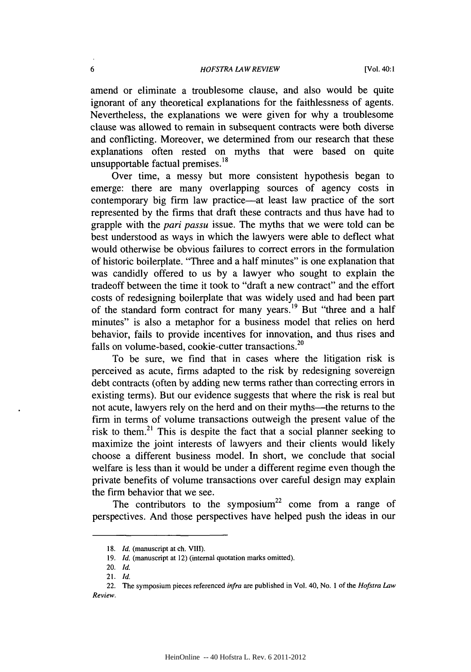#### *HOFSTRA LAW REVIEW*

amend or eliminate a troublesome clause, and also would be quite ignorant of any theoretical explanations for the faithlessness of agents. Nevertheless, the explanations we were given for why a troublesome clause was allowed to remain in subsequent contracts were both diverse and conflicting. Moreover, we determined from our research that these explanations often rested on myths that were based on quite unsupportable factual premises.<sup>18</sup>

Over time, a messy but more consistent hypothesis began to emerge: there are many overlapping sources of agency costs in contemporary big firm law practice—at least law practice of the sort represented by the firms that draft these contracts and thus have had to grapple with the *pari passu* issue. The myths that we were told can be best understood as ways in which the lawyers were able to deflect what would otherwise be obvious failures to correct errors in the formulation of historic boilerplate. "Three and a half minutes" is one explanation that was candidly offered to us by a lawyer who sought to explain the tradeoff between the time it took to "draft a new contract" and the effort costs of redesigning boilerplate that was widely used and had been part of the standard form contract for many years.<sup>19</sup> But "three and a half minutes" is also a metaphor for a business model that relies on herd behavior, fails to provide incentives for innovation, and thus rises and falls on volume-based, cookie-cutter transactions.<sup>20</sup>

To be sure, we find that in cases where the litigation risk is perceived as acute, firms adapted to the risk by redesigning sovereign debt contracts (often by adding new terms rather than correcting errors in existing terms). But our evidence suggests that where the risk is real but not acute, lawyers rely on the herd and on their myths--the returns to the firm in terms of volume transactions outweigh the present value of the risk to them.<sup>21</sup> This is despite the fact that a social planner seeking to maximize the joint interests of lawyers and their clients would likely choose a different business model. In short, we conclude that social welfare is less than it would be under a different regime even though the private benefits of volume transactions over careful design may explain the firm behavior that we see.

The contributors to the symposium<sup>22</sup> come from a range of perspectives. And those perspectives have helped push the ideas in our

<sup>18.</sup> *Id.* (manuscript at ch. VIII).

<sup>19.</sup> *Id.* (manuscript at 12) (internal quotation marks omitted).

<sup>20.</sup> *Id.*

<sup>21.</sup> *Id.*

<sup>22.</sup> The symposium pieces referenced infra are published in Vol. 40, No. 1 of the *Hofstra Law Review.*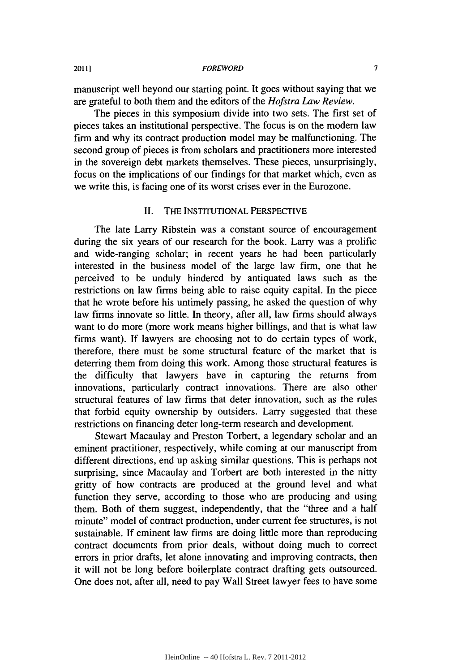manuscript well beyond our starting point. It goes without saying that we are grateful to both them and the editors of the *Hofstra Law Review.*

The pieces in this symposium divide into two sets. The first set of pieces takes an institutional perspective. The focus is on the modem law firm and why its contract production model may be malfunctioning. The second group of pieces is from scholars and practitioners more interested in the sovereign debt markets themselves. These pieces, unsurprisingly, focus on the implications of our findings for that market which, even as we write this, is facing one of its worst crises ever in the Eurozone.

## II. THE INSTITUTIONAL PERSPECTIVE

The late Larry Ribstein was a constant source of encouragement during the six years of our research for the book. Larry was a prolific and wide-ranging scholar; in recent years he had been particularly interested in the business model of the large law firm, one that he perceived to be unduly hindered by antiquated laws such as the restrictions on law firms being able to raise equity capital. In the piece that he wrote before his untimely passing, he asked the question of why law firms innovate so little. In theory, after all, law firms should always want to do more (more work means higher billings, and that is what law firms want). If lawyers are choosing not to do certain types of work, therefore, there must be some structural feature of the market that is deterring them from doing this work. Among those structural features is the difficulty that lawyers have in capturing the returns from innovations, particularly contract innovations. There are also other structural features of law firms that deter innovation, such as the rules that forbid equity ownership by outsiders. Larry suggested that these restrictions on financing deter long-term research and development.

Stewart Macaulay and Preston Torbert, a legendary scholar and an eminent practitioner, respectively, while coming at our manuscript from different directions, end up asking similar questions. This is perhaps not surprising, since Macaulay and Torbert are both interested in the nitty gritty of how contracts are produced at the ground level and what function they serve, according to those who are producing and using them. Both of them suggest, independently, that the "three and a half minute" model of contract production, under current fee structures, is not sustainable. If eminent law firms are doing little more than reproducing contract documents from prior deals, without doing much to correct errors in prior drafts, let alone innovating and improving contracts, then it will not be long before boilerplate contract drafting gets outsourced. One does not, after all, need to pay Wall Street lawyer fees to have some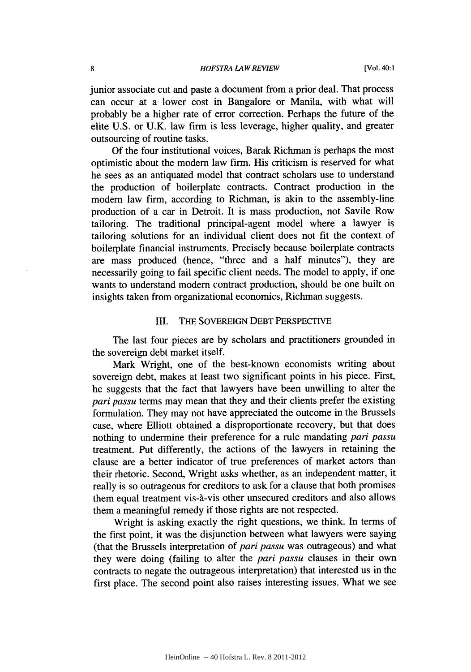junior associate cut and paste a document from a prior deal. That process can occur at a lower cost in Bangalore or Manila, with what will probably be a higher rate of error correction. Perhaps the future of the elite U.S. or U.K. law firm is less leverage, higher quality, and greater outsourcing of routine tasks.

Of the four institutional voices, Barak Richman is perhaps the most optimistic about the modem law firm. His criticism is reserved for what he sees as an antiquated model that contract scholars use to understand the production of boilerplate contracts. Contract production in the modem law firm, according to Richman, is akin to the assembly-line production of a car in Detroit. It is mass production, not Savile Row tailoring. The traditional principal-agent model where a lawyer is tailoring solutions for an individual client does not fit the context of boilerplate financial instruments. Precisely because boilerplate contracts are mass produced (hence, "three and a half minutes"), they are necessarily going to fail specific client needs. The model to apply, if one wants to understand modem contract production, should be one built on insights taken from organizational economics, Richman suggests.

## III. THE SOVEREIGN DEBT PERSPECTIVE

The last four pieces are by scholars and practitioners grounded in the sovereign debt market itself.

Mark Wright, one of the best-known economists writing about sovereign debt, makes at least two significant points in his piece. First, he suggests that the fact that lawyers have been unwilling to alter the *pari passu* terms may mean that they and their clients prefer the existing formulation. They may not have appreciated the outcome in the Brussels case, where Elliott obtained a disproportionate recovery, but that does nothing to undermine their preference for a rule mandating *pari passu* treatment. Put differently, the actions of the lawyers in retaining the clause are a better indicator of true preferences of market actors than their rhetoric. Second, Wright asks whether, as an independent matter, it really is so outrageous for creditors to ask for a clause that both promises them equal treatment vis-à-vis other unsecured creditors and also allows them a meaningful remedy if those rights are not respected.

Wright is asking exactly the right questions, we think. In terms of the first point, it was the disjunction between what lawyers were saying (that the Brussels interpretation of *pari passu* was outrageous) and what they were doing (failing to alter the *pari passu* clauses in their own contracts to negate the outrageous interpretation) that interested us in the first place. The second point also raises interesting issues. What we see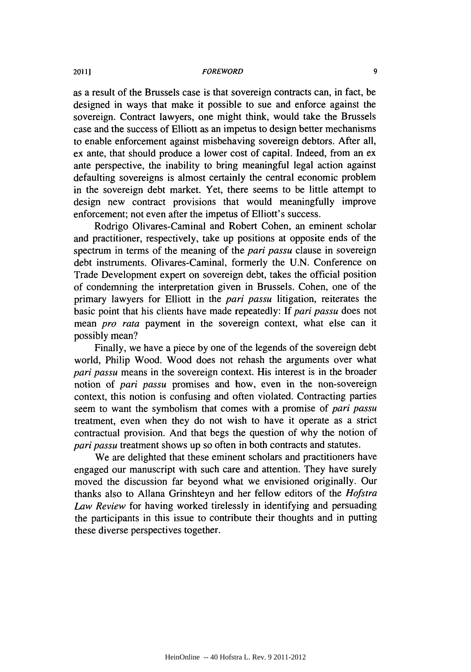as a result of the Brussels case is that sovereign contracts can, in fact, be designed in ways that make it possible to sue and enforce against the sovereign. Contract lawyers, one might think, would take the Brussels case and the success of Elliott as an impetus to design better mechanisms to enable enforcement against misbehaving sovereign debtors. After all, ex ante, that should produce a lower cost of capital. Indeed, from an ex ante perspective, the inability to bring meaningful legal action against defaulting sovereigns is almost certainly the central economic problem in the sovereign debt market. Yet, there seems to be little attempt to design new contract provisions that would meaningfully improve enforcement; not even after the impetus of Elliott's success.

Rodrigo Olivares-Caminal and Robert Cohen, an eminent scholar and practitioner, respectively, take up positions at opposite ends of the spectrum in terms of the meaning of the *pari passu* clause in sovereign debt instruments. Olivares-Caminal, formerly the U.N. Conference on Trade Development expert on sovereign debt, takes the official position of condemning the interpretation given in Brussels. Cohen, one of the primary lawyers for Elliott in the *pari passu* litigation, reiterates the basic point that his clients have made repeatedly: If *pari passu* does not mean *pro rata* payment in the sovereign context, what else can it possibly mean?

Finally, we have a piece by one of the legends of the sovereign debt world, Philip Wood. Wood does not rehash the arguments over what *pari passu* means in the sovereign context. His interest is in the broader notion of *pari passu* promises and how, even in the non-sovereign context, this notion is confusing and often violated. Contracting parties seem to want the symbolism that comes with a promise of *pari passu* treatment, even when they do not wish to have it operate as a strict contractual provision. And that begs the question of why the notion of *pari passu* treatment shows up so often in both contracts and statutes.

We are delighted that these eminent scholars and practitioners have engaged our manuscript with such care and attention. They have surely moved the discussion far beyond what we envisioned originally. Our thanks also to Allana Grinshteyn and her fellow editors of the *Hofstra Law Review* for having worked tirelessly in identifying and persuading the participants in this issue to contribute their thoughts and in putting these diverse perspectives together.